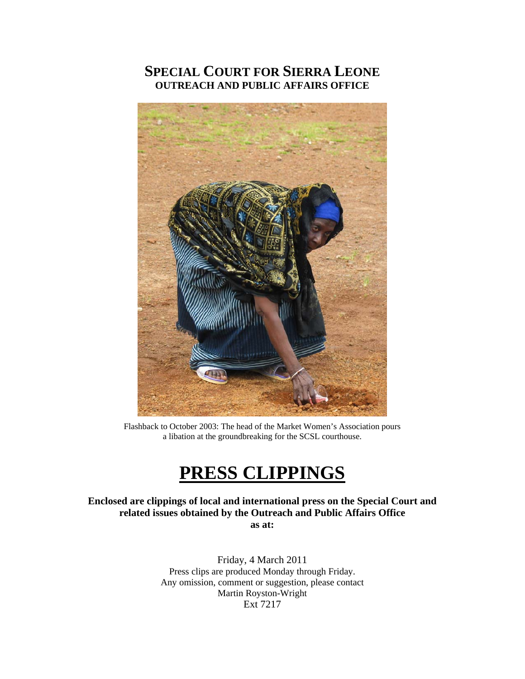## **SPECIAL COURT FOR SIERRA LEONE OUTREACH AND PUBLIC AFFAIRS OFFICE**



Flashback to October 2003: The head of the Market Women's Association pours a libation at the groundbreaking for the SCSL courthouse.

# **PRESS CLIPPINGS**

**Enclosed are clippings of local and international press on the Special Court and related issues obtained by the Outreach and Public Affairs Office as at:** 

> Friday, 4 March 2011 Press clips are produced Monday through Friday. Any omission, comment or suggestion, please contact Martin Royston-Wright Ext 7217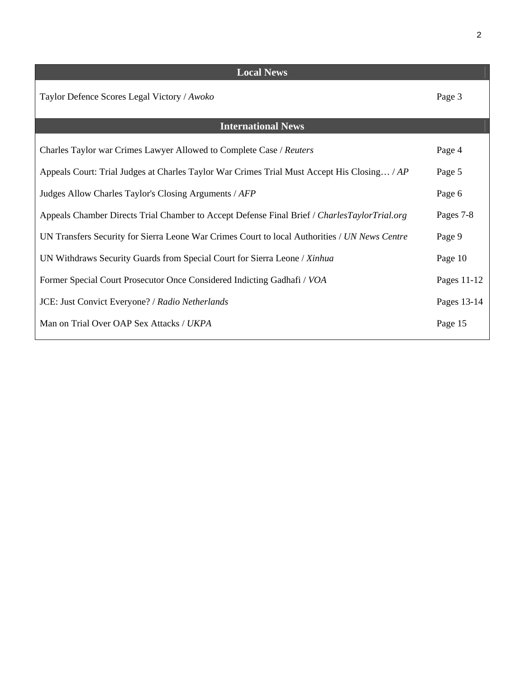| <b>Local News</b>                                                                             |             |
|-----------------------------------------------------------------------------------------------|-------------|
| Taylor Defence Scores Legal Victory / Awoko                                                   | Page 3      |
| <b>International News</b>                                                                     |             |
| Charles Taylor war Crimes Lawyer Allowed to Complete Case / Reuters                           | Page 4      |
| Appeals Court: Trial Judges at Charles Taylor War Crimes Trial Must Accept His Closing / AP   | Page 5      |
| Judges Allow Charles Taylor's Closing Arguments / AFP                                         | Page 6      |
| Appeals Chamber Directs Trial Chamber to Accept Defense Final Brief / CharlesTaylorTrial.org  | Pages 7-8   |
| UN Transfers Security for Sierra Leone War Crimes Court to local Authorities / UN News Centre | Page 9      |
| UN Withdraws Security Guards from Special Court for Sierra Leone / Xinhua                     | Page 10     |
| Former Special Court Prosecutor Once Considered Indicting Gadhafi / VOA                       | Pages 11-12 |
| JCE: Just Convict Everyone? / Radio Netherlands                                               | Pages 13-14 |
| Man on Trial Over OAP Sex Attacks / UKPA                                                      | Page 15     |
|                                                                                               |             |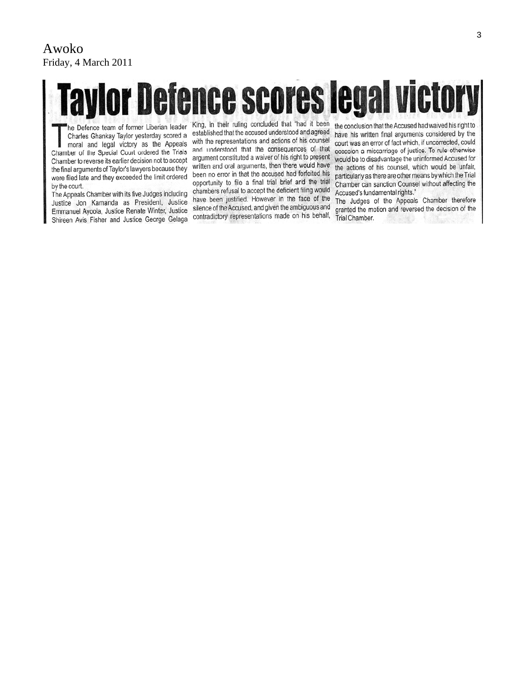#### Awoko Friday, 4 March 2011

# or Defence scores legal victo

he Defence team of former Liberian leader Charles Ghankay Taylor yesterday scored a moral and legal victory as the Appeals Chamber of the Special Court ordered the Trials Chamber to reverse its earlier decision not to accept the final arguments of Taylor's lawyers because they were filed late and they exceeded the limit ordered by the court.

The Appeals Chamber with its five Judges including Justice Jon Kamanda as President, Justice Emmanuel Ayoola, Justice Renate Winter, Justice Shireen Avis Fisher and Justice George Gelaga

King, in their ruling concluded that "had it been established that the accused understood and agreed with the representations and actions of his counsel and understood that the consequences of that argument constituted a waiver of his right to present written and oral arguments, then there would have been no error in that the accused had forfeited his opportunity to file a final trial brief and the trial chambers refusal to accept the deficient filing would have been justified. However in the face of the silence of the Accused, and given the ambiguous and contradictory representations made on his behalf,

the conclusion that the Accused had waived his right to have his written final arguments considered by the court was an error of fact which, if uncorrected, could occasion a miscarriage of justice. To rule otherwise would be to disadvantage the uninformed Accused for the actions of his counsel, which would be unfair, particularly as there are other means by which the Trial Chamber can sanction Counsel without affecting the Accused's fundamental rights."

The Judges of the Appeals Chamber therefore granted the motion and reversed the decision of the Trial Chamber.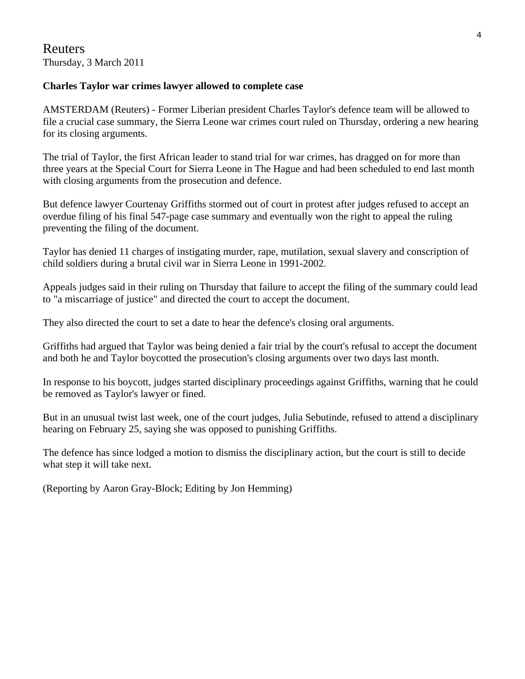#### **Charles Taylor war crimes lawyer allowed to complete case**

AMSTERDAM (Reuters) - Former Liberian president Charles Taylor's defence team will be allowed to file a crucial case summary, the Sierra Leone war crimes court ruled on Thursday, ordering a new hearing for its closing arguments.

The trial of Taylor, the first African leader to stand trial for war crimes, has dragged on for more than three years at the Special Court for Sierra Leone in The Hague and had been scheduled to end last month with closing arguments from the prosecution and defence.

But defence lawyer Courtenay Griffiths stormed out of court in protest after judges refused to accept an overdue filing of his final 547-page case summary and eventually won the right to appeal the ruling preventing the filing of the document.

Taylor has denied 11 charges of instigating murder, rape, mutilation, sexual slavery and conscription of child soldiers during a brutal civil war in Sierra Leone in 1991-2002.

Appeals judges said in their ruling on Thursday that failure to accept the filing of the summary could lead to "a miscarriage of justice" and directed the court to accept the document.

They also directed the court to set a date to hear the defence's closing oral arguments.

Griffiths had argued that Taylor was being denied a fair trial by the court's refusal to accept the document and both he and Taylor boycotted the prosecution's closing arguments over two days last month.

In response to his boycott, judges started disciplinary proceedings against Griffiths, warning that he could be removed as Taylor's lawyer or fined.

But in an unusual twist last week, one of the court judges, Julia Sebutinde, refused to attend a disciplinary hearing on February 25, saying she was opposed to punishing Griffiths.

The defence has since lodged a motion to dismiss the disciplinary action, but the court is still to decide what step it will take next.

(Reporting by Aaron Gray-Block; Editing by Jon Hemming)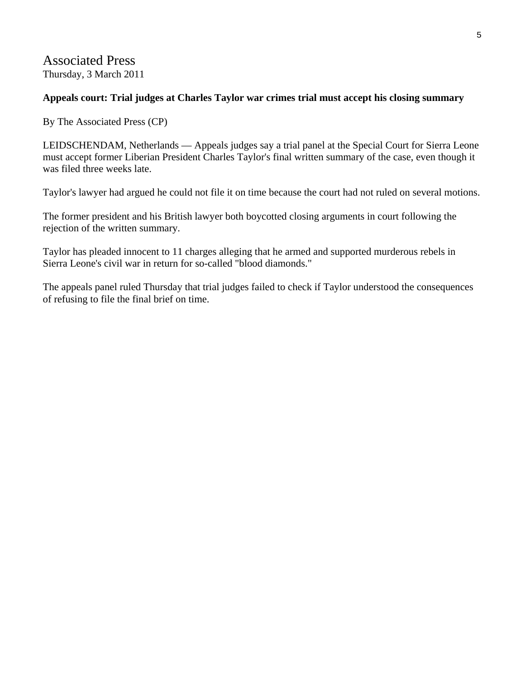#### Associated Press Thursday, 3 March 2011

#### **Appeals court: Trial judges at Charles Taylor war crimes trial must accept his closing summary**

By The Associated Press (CP)

LEIDSCHENDAM, Netherlands — Appeals judges say a trial panel at the Special Court for Sierra Leone must accept former Liberian President Charles Taylor's final written summary of the case, even though it was filed three weeks late.

Taylor's lawyer had argued he could not file it on time because the court had not ruled on several motions.

The former president and his British lawyer both boycotted closing arguments in court following the rejection of the written summary.

Taylor has pleaded innocent to 11 charges alleging that he armed and supported murderous rebels in Sierra Leone's civil war in return for so-called "blood diamonds."

The appeals panel ruled Thursday that trial judges failed to check if Taylor understood the consequences of refusing to file the final brief on time.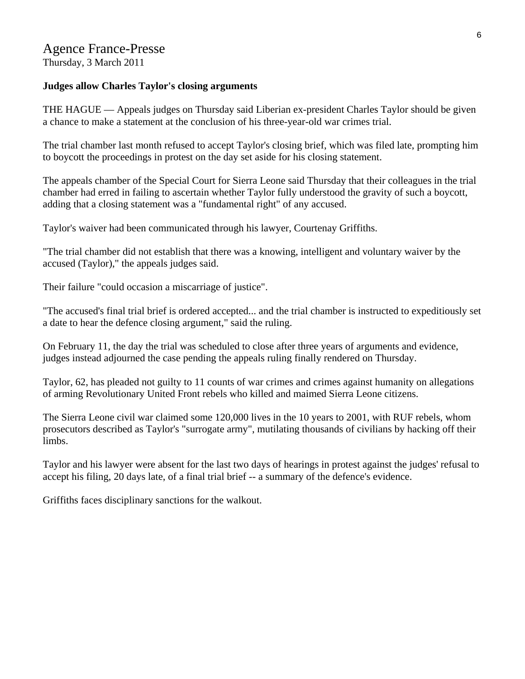## Agence France-Presse

Thursday, 3 March 2011

#### **Judges allow Charles Taylor's closing arguments**

THE HAGUE — Appeals judges on Thursday said Liberian ex-president Charles Taylor should be given a chance to make a statement at the conclusion of his three-year-old war crimes trial.

The trial chamber last month refused to accept Taylor's closing brief, which was filed late, prompting him to boycott the proceedings in protest on the day set aside for his closing statement.

The appeals chamber of the Special Court for Sierra Leone said Thursday that their colleagues in the trial chamber had erred in failing to ascertain whether Taylor fully understood the gravity of such a boycott, adding that a closing statement was a "fundamental right" of any accused.

Taylor's waiver had been communicated through his lawyer, Courtenay Griffiths.

"The trial chamber did not establish that there was a knowing, intelligent and voluntary waiver by the accused (Taylor)," the appeals judges said.

Their failure "could occasion a miscarriage of justice".

"The accused's final trial brief is ordered accepted... and the trial chamber is instructed to expeditiously set a date to hear the defence closing argument," said the ruling.

On February 11, the day the trial was scheduled to close after three years of arguments and evidence, judges instead adjourned the case pending the appeals ruling finally rendered on Thursday.

Taylor, 62, has pleaded not guilty to 11 counts of war crimes and crimes against humanity on allegations of arming Revolutionary United Front rebels who killed and maimed Sierra Leone citizens.

The Sierra Leone civil war claimed some 120,000 lives in the 10 years to 2001, with RUF rebels, whom prosecutors described as Taylor's "surrogate army", mutilating thousands of civilians by hacking off their limbs.

Taylor and his lawyer were absent for the last two days of hearings in protest against the judges' refusal to accept his filing, 20 days late, of a final trial brief -- a summary of the defence's evidence.

Griffiths faces disciplinary sanctions for the walkout.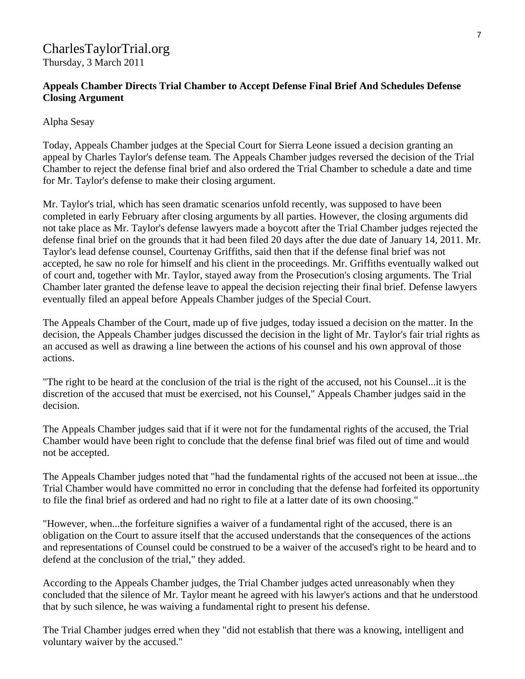#### CharlesTaylorTrial.org Thursday, 3 March 2011

#### **Appeals Chamber Directs Trial Chamber to Accept Defense Final Brief And Schedules Defense Closing Argument**

#### Alpha Sesay

Today, Appeals Chamber judges at the Special Court for Sierra Leone issued a decision granting an appeal by Charles Taylor's defense team. The Appeals Chamber judges reversed the decision of the Trial Chamber to reject the defense final brief and also ordered the Trial Chamber to schedule a date and time for Mr. Taylor's defense to make their closing argument.

Mr. Taylor's trial, which has seen dramatic scenarios unfold recently, was supposed to have been completed in early February after closing arguments by all parties. However, the closing arguments did not take place as Mr. Taylor's defense lawyers made a boycott after the Trial Chamber judges rejected the defense final brief on the grounds that it had been filed 20 days after the due date of January 14, 2011. Mr. Taylor's lead defense counsel, Courtenay Griffiths, said then that if the defense final brief was not accepted, he saw no role for himself and his client in the proceedings. Mr. Griffiths eventually walked out of court and, together with Mr. Taylor, stayed away from the Prosecution's closing arguments. The Trial Chamber later granted the defense leave to appeal the decision rejecting their final brief. Defense lawyers eventually filed an appeal before Appeals Chamber judges of the Special Court.

The Appeals Chamber of the Court, made up of five judges, today issued a decision on the matter. In the decision, the Appeals Chamber judges discussed the decision in the light of Mr. Taylor's fair trial rights as an accused as well as drawing a line between the actions of his counsel and his own approval of those actions.

"The right to be heard at the conclusion of the trial is the right of the accused, not his Counsel...it is the discretion of the accused that must be exercised, not his Counsel," Appeals Chamber judges said in the decision.

The Appeals Chamber judges said that if it were not for the fundamental rights of the accused, the Trial Chamber would have been right to conclude that the defense final brief was filed out of time and would not be accepted.

The Appeals Chamber judges noted that "had the fundamental rights of the accused not been at issue...the Trial Chamber would have committed no error in concluding that the defense had forfeited its opportunity to file the final brief as ordered and had no right to file at a latter date of its own choosing."

"However, when...the forfeiture signifies a waiver of a fundamental right of the accused, there is an obligation on the Court to assure itself that the accused understands that the consequences of the actions and representations of Counsel could be construed to be a waiver of the accused's right to be heard and to defend at the conclusion of the trial," they added.

According to the Appeals Chamber judges, the Trial Chamber judges acted unreasonably when they concluded that the silence of Mr. Taylor meant he agreed with his lawyer's actions and that he understood that by such silence, he was waiving a fundamental right to present his defense.

The Trial Chamber judges erred when they "did not establish that there was a knowing, intelligent and voluntary waiver by the accused."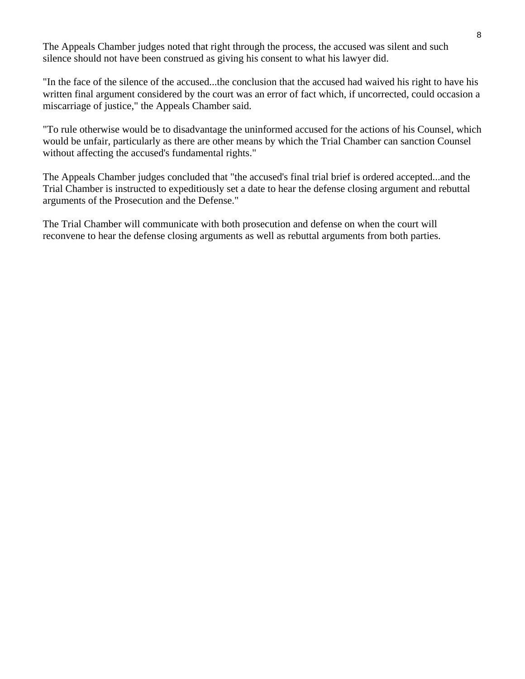The Appeals Chamber judges noted that right through the process, the accused was silent and such silence should not have been construed as giving his consent to what his lawyer did.

"In the face of the silence of the accused...the conclusion that the accused had waived his right to have his written final argument considered by the court was an error of fact which, if uncorrected, could occasion a miscarriage of justice," the Appeals Chamber said.

"To rule otherwise would be to disadvantage the uninformed accused for the actions of his Counsel, which would be unfair, particularly as there are other means by which the Trial Chamber can sanction Counsel without affecting the accused's fundamental rights."

The Appeals Chamber judges concluded that "the accused's final trial brief is ordered accepted...and the Trial Chamber is instructed to expeditiously set a date to hear the defense closing argument and rebuttal arguments of the Prosecution and the Defense."

The Trial Chamber will communicate with both prosecution and defense on when the court will reconvene to hear the defense closing arguments as well as rebuttal arguments from both parties.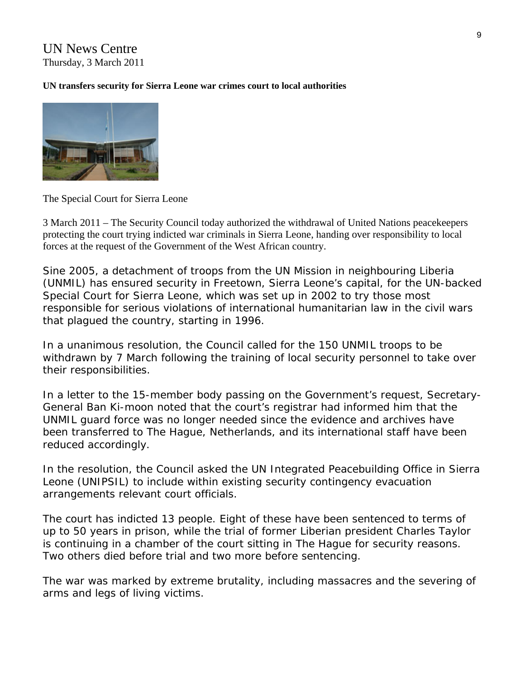#### UN News Centre Thursday, 3 March 2011

#### **UN transfers security for Sierra Leone war crimes court to local authorities**



The Special Court for Sierra Leone

3 March 2011 – The Security Council today authorized the withdrawal of United Nations peacekeepers protecting the court trying indicted war criminals in Sierra Leone, handing over responsibility to local forces at the request of the Government of the West African country.

Sine 2005, a detachment of troops from the UN Mission in neighbouring Liberia (UNMIL) has ensured security in Freetown, Sierra Leone's capital, for the UN-backed Special Court for Sierra Leone, which was set up in 2002 to try those most responsible for serious violations of international humanitarian law in the civil wars that plagued the country, starting in 1996.

In a unanimous resolution, the Council called for the 150 UNMIL troops to be withdrawn by 7 March following the training of local security personnel to take over their responsibilities.

In a letter to the 15-member body passing on the Government's request, Secretary-General Ban Ki-moon noted that the court's registrar had informed him that the UNMIL guard force was no longer needed since the evidence and archives have been transferred to The Hague, Netherlands, and its international staff have been reduced accordingly.

In the resolution, the Council asked the UN Integrated Peacebuilding Office in Sierra Leone (UNIPSIL) to include within existing security contingency evacuation arrangements relevant court officials.

The court has indicted 13 people. Eight of these have been sentenced to terms of up to 50 years in prison, while the trial of former Liberian president Charles Taylor is continuing in a chamber of the court sitting in The Hague for security reasons. Two others died before trial and two more before sentencing.

The war was marked by extreme brutality, including massacres and the severing of arms and legs of living victims.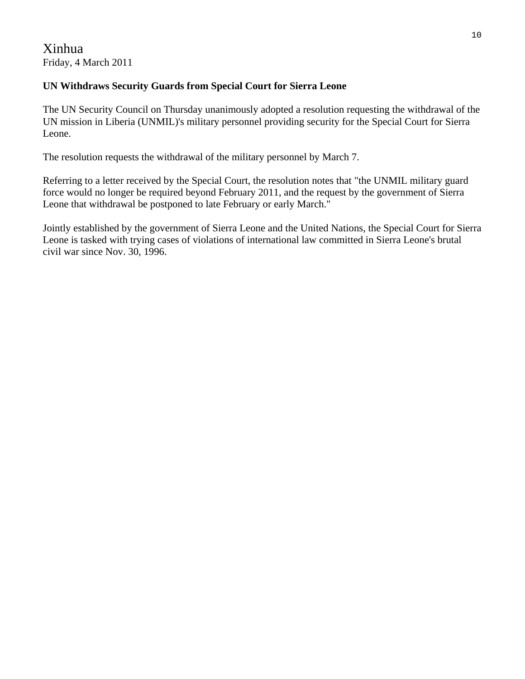#### **UN Withdraws Security Guards from Special Court for Sierra Leone**

The UN Security Council on Thursday unanimously adopted a resolution requesting the withdrawal of the UN mission in Liberia (UNMIL)'s military personnel providing security for the Special Court for Sierra Leone.

The resolution requests the withdrawal of the military personnel by March 7.

Referring to a letter received by the Special Court, the resolution notes that "the UNMIL military guard force would no longer be required beyond February 2011, and the request by the government of Sierra Leone that withdrawal be postponed to late February or early March."

Jointly established by the government of Sierra Leone and the United Nations, the Special Court for Sierra Leone is tasked with trying cases of violations of international law committed in Sierra Leone's brutal civil war since Nov. 30, 1996.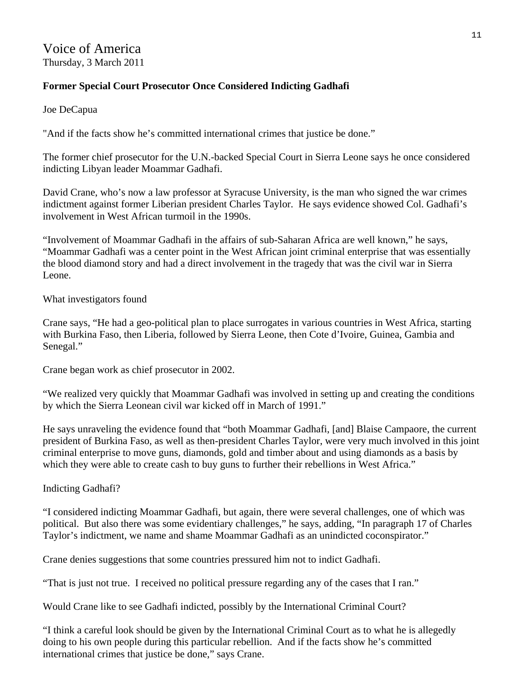#### Voice of America Thursday, 3 March 2011

#### **Former Special Court Prosecutor Once Considered Indicting Gadhafi**

Joe DeCapua

"And if the facts show he's committed international crimes that justice be done."

The former chief prosecutor for the U.N.-backed Special Court in Sierra Leone says he once considered indicting Libyan leader Moammar Gadhafi.

David Crane, who's now a law professor at Syracuse University, is the man who signed the war crimes indictment against former Liberian president Charles Taylor. He says evidence showed Col. Gadhafi's involvement in West African turmoil in the 1990s.

"Involvement of Moammar Gadhafi in the affairs of sub-Saharan Africa are well known," he says, "Moammar Gadhafi was a center point in the West African joint criminal enterprise that was essentially the blood diamond story and had a direct involvement in the tragedy that was the civil war in Sierra Leone.

What investigators found

Crane says, "He had a geo-political plan to place surrogates in various countries in West Africa, starting with Burkina Faso, then Liberia, followed by Sierra Leone, then Cote d'Ivoire, Guinea, Gambia and Senegal."

Crane began work as chief prosecutor in 2002.

"We realized very quickly that Moammar Gadhafi was involved in setting up and creating the conditions by which the Sierra Leonean civil war kicked off in March of 1991."

He says unraveling the evidence found that "both Moammar Gadhafi, [and] Blaise Campaore, the current president of Burkina Faso, as well as then-president Charles Taylor, were very much involved in this joint criminal enterprise to move guns, diamonds, gold and timber about and using diamonds as a basis by which they were able to create cash to buy guns to further their rebellions in West Africa."

#### Indicting Gadhafi?

"I considered indicting Moammar Gadhafi, but again, there were several challenges, one of which was political. But also there was some evidentiary challenges," he says, adding, "In paragraph 17 of Charles Taylor's indictment, we name and shame Moammar Gadhafi as an unindicted coconspirator."

Crane denies suggestions that some countries pressured him not to indict Gadhafi.

"That is just not true. I received no political pressure regarding any of the cases that I ran."

Would Crane like to see Gadhafi indicted, possibly by the International Criminal Court?

"I think a careful look should be given by the International Criminal Court as to what he is allegedly doing to his own people during this particular rebellion. And if the facts show he's committed international crimes that justice be done," says Crane.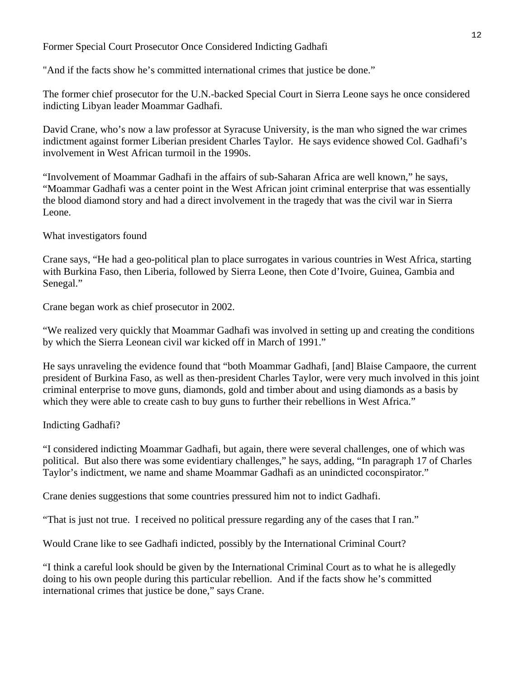#### Former Special Court Prosecutor Once Considered Indicting Gadhafi

"And if the facts show he's committed international crimes that justice be done."

The former chief prosecutor for the U.N.-backed Special Court in Sierra Leone says he once considered indicting Libyan leader Moammar Gadhafi.

David Crane, who's now a law professor at Syracuse University, is the man who signed the war crimes indictment against former Liberian president Charles Taylor. He says evidence showed Col. Gadhafi's involvement in West African turmoil in the 1990s.

"Involvement of Moammar Gadhafi in the affairs of sub-Saharan Africa are well known," he says, "Moammar Gadhafi was a center point in the West African joint criminal enterprise that was essentially the blood diamond story and had a direct involvement in the tragedy that was the civil war in Sierra Leone.

#### What investigators found

Crane says, "He had a geo-political plan to place surrogates in various countries in West Africa, starting with Burkina Faso, then Liberia, followed by Sierra Leone, then Cote d'Ivoire, Guinea, Gambia and Senegal."

Crane began work as chief prosecutor in 2002.

"We realized very quickly that Moammar Gadhafi was involved in setting up and creating the conditions by which the Sierra Leonean civil war kicked off in March of 1991."

He says unraveling the evidence found that "both Moammar Gadhafi, [and] Blaise Campaore, the current president of Burkina Faso, as well as then-president Charles Taylor, were very much involved in this joint criminal enterprise to move guns, diamonds, gold and timber about and using diamonds as a basis by which they were able to create cash to buy guns to further their rebellions in West Africa."

#### Indicting Gadhafi?

"I considered indicting Moammar Gadhafi, but again, there were several challenges, one of which was political. But also there was some evidentiary challenges," he says, adding, "In paragraph 17 of Charles Taylor's indictment, we name and shame Moammar Gadhafi as an unindicted coconspirator."

Crane denies suggestions that some countries pressured him not to indict Gadhafi.

"That is just not true. I received no political pressure regarding any of the cases that I ran."

Would Crane like to see Gadhafi indicted, possibly by the International Criminal Court?

"I think a careful look should be given by the International Criminal Court as to what he is allegedly doing to his own people during this particular rebellion. And if the facts show he's committed international crimes that justice be done," says Crane.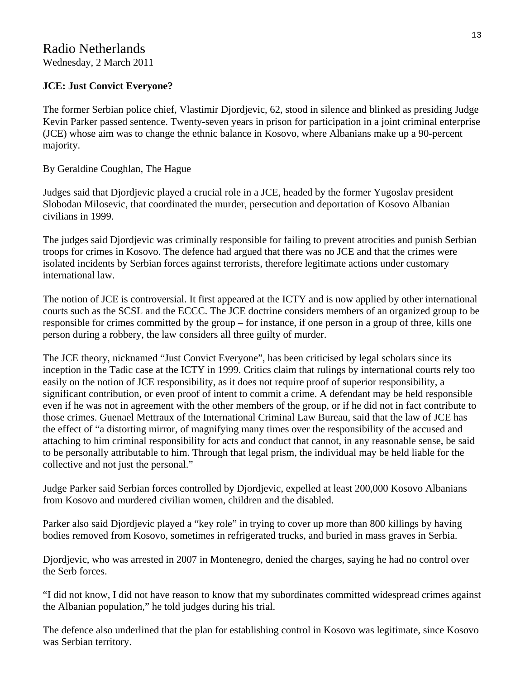#### Radio Netherlands Wednesday, 2 March 2011

#### **JCE: Just Convict Everyone?**

The former Serbian police chief, Vlastimir Djordjevic, 62, stood in silence and blinked as presiding Judge Kevin Parker passed sentence. Twenty-seven years in prison for participation in a joint criminal enterprise (JCE) whose aim was to change the ethnic balance in Kosovo, where Albanians make up a 90-percent majority.

#### By Geraldine Coughlan, The Hague

Judges said that Djordjevic played a crucial role in a JCE, headed by the former Yugoslav president Slobodan Milosevic, that coordinated the murder, persecution and deportation of Kosovo Albanian civilians in 1999.

The judges said Djordjevic was criminally responsible for failing to prevent atrocities and punish Serbian troops for crimes in Kosovo. The defence had argued that there was no JCE and that the crimes were isolated incidents by Serbian forces against terrorists, therefore legitimate actions under customary international law.

The notion of JCE is controversial. It first appeared at the ICTY and is now applied by other international courts such as the SCSL and the ECCC. The JCE doctrine considers members of an organized group to be responsible for crimes committed by the group – for instance, if one person in a group of three, kills one person during a robbery, the law considers all three guilty of murder.

The JCE theory, nicknamed "Just Convict Everyone", has been criticised by legal scholars since its inception in the Tadic case at the ICTY in 1999. Critics claim that rulings by international courts rely too easily on the notion of JCE responsibility, as it does not require proof of superior responsibility, a significant contribution, or even proof of intent to commit a crime. A defendant may be held responsible even if he was not in agreement with the other members of the group, or if he did not in fact contribute to those crimes. Guenael Mettraux of the International Criminal Law Bureau, said that the law of JCE has the effect of "a distorting mirror, of magnifying many times over the responsibility of the accused and attaching to him criminal responsibility for acts and conduct that cannot, in any reasonable sense, be said to be personally attributable to him. Through that legal prism, the individual may be held liable for the collective and not just the personal."

Judge Parker said Serbian forces controlled by Djordjevic, expelled at least 200,000 Kosovo Albanians from Kosovo and murdered civilian women, children and the disabled.

Parker also said Djordjevic played a "key role" in trying to cover up more than 800 killings by having bodies removed from Kosovo, sometimes in refrigerated trucks, and buried in mass graves in Serbia.

Djordjevic, who was arrested in 2007 in Montenegro, denied the charges, saying he had no control over the Serb forces.

"I did not know, I did not have reason to know that my subordinates committed widespread crimes against the Albanian population," he told judges during his trial.

The defence also underlined that the plan for establishing control in Kosovo was legitimate, since Kosovo was Serbian territory.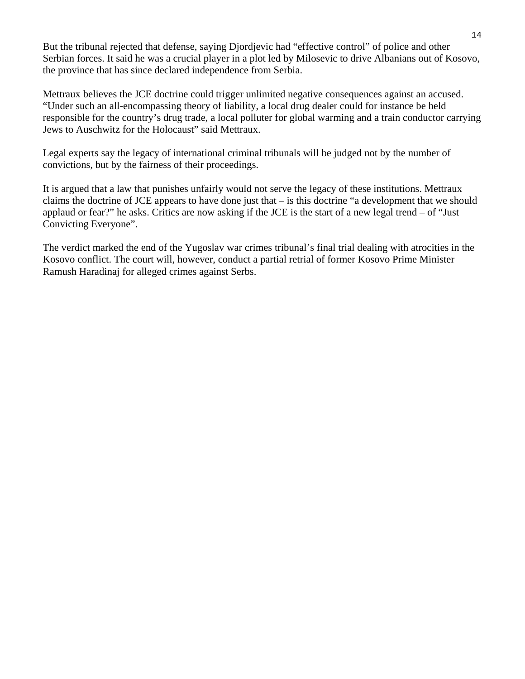But the tribunal rejected that defense, saying Djordjevic had "effective control" of police and other Serbian forces. It said he was a crucial player in a plot led by Milosevic to drive Albanians out of Kosovo, the province that has since declared independence from Serbia.

Mettraux believes the JCE doctrine could trigger unlimited negative consequences against an accused. "Under such an all-encompassing theory of liability, a local drug dealer could for instance be held responsible for the country's drug trade, a local polluter for global warming and a train conductor carrying Jews to Auschwitz for the Holocaust" said Mettraux.

Legal experts say the legacy of international criminal tribunals will be judged not by the number of convictions, but by the fairness of their proceedings.

It is argued that a law that punishes unfairly would not serve the legacy of these institutions. Mettraux claims the doctrine of JCE appears to have done just that – is this doctrine "a development that we should applaud or fear?" he asks. Critics are now asking if the JCE is the start of a new legal trend – of "Just Convicting Everyone".

The verdict marked the end of the Yugoslav war crimes tribunal's final trial dealing with atrocities in the Kosovo conflict. The court will, however, conduct a partial retrial of former Kosovo Prime Minister Ramush Haradinaj for alleged crimes against Serbs.